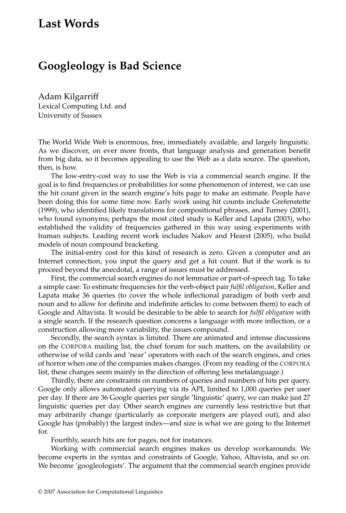# **Last Words**

# **Googleology is Bad Science**

Adam Kilgarriff Lexical Computing Ltd. and University of Sussex

The World Wide Web is enormous, free, immediately available, and largely linguistic. As we discover, on ever more fronts, that language analysis and generation benefit from big data, so it becomes appealing to use the Web as a data source. The question, then, is how.

The low-entry-cost way to use the Web is via a commercial search engine. If the goal is to find frequencies or probabilities for some phenomenon of interest, we can use the hit count given in the search engine's hits page to make an estimate. People have been doing this for some time now. Early work using hit counts include Grefenstette (1999), who identified likely translations for compositional phrases, and Turney (2001), who found synonyms; perhaps the most cited study is Keller and Lapata (2003), who established the validity of frequencies gathered in this way using experiments with human subjects. Leading recent work includes Nakov and Hearst (2005), who build models of noun compound bracketing.

The initial-entry cost for this kind of research is zero. Given a computer and an Internet connection, you input the query and get a hit count. But if the work is to proceed beyond the anecdotal, a range of issues must be addressed.

First, the commercial search engines do not lemmatize or part-of-speech tag. To take a simple case: To estimate frequencies for the verb-object pair *fulfil obligation*, Keller and Lapata make 36 queries (to cover the whole inflectional paradigm of both verb and noun and to allow for definite and indefinite articles to come between them) to each of Google and Altavista. It would be desirable to be able to search for *fulfil obligation* with a single search. If the research question concerns a language with more inflection, or a construction allowing more variability, the issues compound.

Secondly, the search syntax is limited. There are animated and intense discussions on the CORPORA mailing list, the chief forum for such matters, on the availability or otherwise of wild cards and 'near' operators with each of the search engines, and cries of horror when one of the companies makes changes. (From my reading of the CORPORA list, these changes seem mainly in the direction of offering less metalanguage.)

Thirdly, there are constraints on numbers of queries and numbers of hits per query. Google only allows automated querying via its API, limited to 1,000 queries per user per day. If there are 36 Google queries per single 'linguistic' query, we can make just 27 linguistic queries per day. Other search engines are currently less restrictive but that may arbitrarily change (particularly as corporate mergers are played out), and also Google has (probably) the largest index—and size is what we are going to the Internet for.

Fourthly, search hits are for pages, not for instances.

Working with commercial search engines makes us develop workarounds. We become experts in the syntax and constraints of Google, Yahoo, Altavista, and so on. We become 'googleologists'. The argument that the commercial search engines provide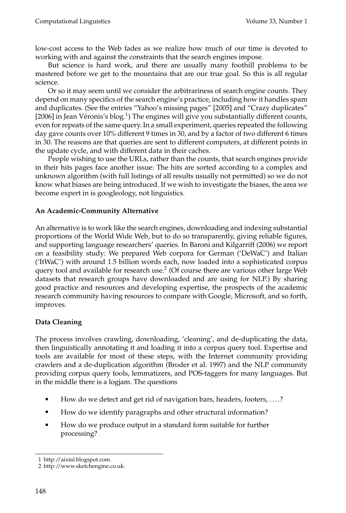low-cost access to the Web fades as we realize how much of our time is devoted to working with and against the constraints that the search engines impose.

But science is hard work, and there are usually many foothill problems to be mastered before we get to the mountains that are our true goal. So this is all regular science.

Or so it may seem until we consider the arbitrariness of search engine counts. They depend on many specifics of the search engine's practice, including how it handles spam and duplicates. (See the entries "Yahoo's missing pages" [2005] and "Crazy duplicates" [2006] in Jean Véronis's blog.<sup>1</sup>) The engines will give you substantially different counts, even for repeats of the same query. In a small experiment, queries repeated the following day gave counts over 10% different 9 times in 30, and by a factor of two different 6 times in 30. The reasons are that queries are sent to different computers, at different points in the update cycle, and with different data in their caches.

People wishing to use the URLs, rather than the counts, that search engines provide in their hits pages face another issue: The hits are sorted according to a complex and unknown algorithm (with full listings of all results usually not permitted) so we do not know what biases are being introduced. If we wish to investigate the biases, the area we become expert in is googleology, not linguistics.

### **An Academic-Community Alternative**

An alternative is to work like the search engines, downloading and indexing substantial proportions of the World Wide Web, but to do so transparently, giving reliable figures, and supporting language researchers' queries. In Baroni and Kilgarriff (2006) we report on a feasibility study: We prepared Web corpora for German ('DeWaC') and Italian ('ItWaC') with around 1.5 billion words each, now loaded into a sophisticated corpus query tool and available for research use.<sup>2</sup> (Of course there are various other large Web datasets that research groups have downloaded and are using for NLP.) By sharing good practice and resources and developing expertise, the prospects of the academic research community having resources to compare with Google, Microsoft, and so forth, improves.

# **Data Cleaning**

The process involves crawling, downloading, 'cleaning', and de-duplicating the data, then linguistically annotating it and loading it into a corpus query tool. Expertise and tools are available for most of these steps, with the Internet community providing crawlers and a de-duplication algorithm (Broder et al. 1997) and the NLP community providing corpus query tools, lemmatizers, and POS-taggers for many languages. But in the middle there is a logjam. The questions

- How do we detect and get rid of navigation bars, headers, footers, . . . .?
- How do we identify paragraphs and other structural information?
- How do we produce output in a standard form suitable for further processing?

<sup>1</sup> http://aixtal.blogspot.com.

<sup>2</sup> http://www.sketchengine.co.uk.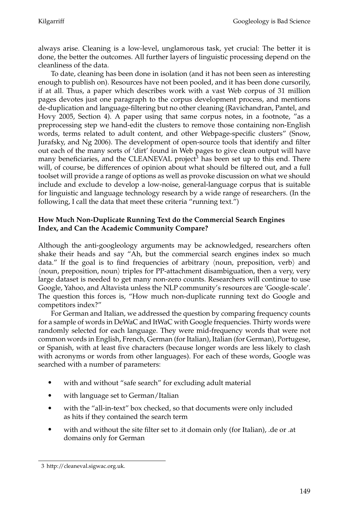always arise. Cleaning is a low-level, unglamorous task, yet crucial: The better it is done, the better the outcomes. All further layers of linguistic processing depend on the cleanliness of the data.

To date, cleaning has been done in isolation (and it has not been seen as interesting enough to publish on). Resources have not been pooled, and it has been done cursorily, if at all. Thus, a paper which describes work with a vast Web corpus of 31 million pages devotes just one paragraph to the corpus development process, and mentions de-duplication and language-filtering but no other cleaning (Ravichandran, Pantel, and Hovy 2005, Section 4). A paper using that same corpus notes, in a footnote, "as a preprocessing step we hand-edit the clusters to remove those containing non-English words, terms related to adult content, and other Webpage-specific clusters" (Snow, Jurafsky, and Ng 2006). The development of open-source tools that identify and filter out each of the many sorts of 'dirt' found in Web pages to give clean output will have many beneficiaries, and the CLEANEVAL project<sup>3</sup> has been set up to this end. There will, of course, be differences of opinion about what should be filtered out, and a full toolset will provide a range of options as well as provoke discussion on what we should include and exclude to develop a low-noise, general-language corpus that is suitable for linguistic and language technology research by a wide range of researchers. (In the following, I call the data that meet these criteria "running text.")

# **How Much Non-Duplicate Running Text do the Commercial Search Engines Index, and Can the Academic Community Compare?**

Although the anti-googleology arguments may be acknowledged, researchers often shake their heads and say "Ah, but the commercial search engines index so much data." If the goal is to find frequencies of arbitrary  $\langle$  noun, preposition, verb $\rangle$  and  $\langle$  noun, preposition, noun $\rangle$  triples for PP-attachment disambiguation, then a very, very large dataset is needed to get many non-zero counts. Researchers will continue to use Google, Yahoo, and Altavista unless the NLP community's resources are 'Google-scale'. The question this forces is, "How much non-duplicate running text do Google and competitors index?"

For German and Italian, we addressed the question by comparing frequency counts for a sample of words in DeWaC and ItWaC with Google frequencies. Thirty words were randomly selected for each language. They were mid-frequency words that were not common words in English, French, German (for Italian), Italian (for German), Portugese, or Spanish, with at least five characters (because longer words are less likely to clash with acronyms or words from other languages). For each of these words, Google was searched with a number of parameters:

- with and without "safe search" for excluding adult material
- with language set to German/Italian
- with the "all-in-text" box checked, so that documents were only included as hits if they contained the search term
- with and without the site filter set to .it domain only (for Italian), .de or .at domains only for German

<sup>3</sup> http://cleaneval.sigwac.org.uk.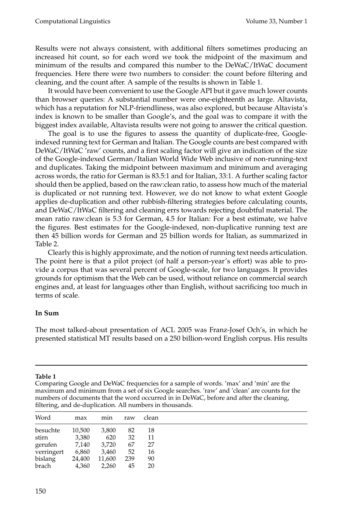Results were not always consistent, with additional filters sometimes producing an increased hit count, so for each word we took the midpoint of the maximum and minimum of the results and compared this number to the DeWaC/ItWaC document frequencies. Here there were two numbers to consider: the count before filtering and cleaning, and the count after. A sample of the results is shown in Table 1.

It would have been convenient to use the Google API but it gave much lower counts than browser queries: A substantial number were one-eighteenth as large. Altavista, which has a reputation for NLP-friendliness, was also explored, but because Altavista's index is known to be smaller than Google's, and the goal was to compare it with the biggest index available, Altavista results were not going to answer the critical question.

The goal is to use the figures to assess the quantity of duplicate-free, Googleindexed running text for German and Italian. The Google counts are best compared with DeWaC/ItWaC 'raw' counts, and a first scaling factor will give an indication of the size of the Google-indexed German/Italian World Wide Web inclusive of non-running-text and duplicates. Taking the midpoint between maximum and minimum and averaging across words, the ratio for German is 83.5:1 and for Italian, 33:1. A further scaling factor should then be applied, based on the raw:clean ratio, to assess how much of the material is duplicated or not running text. However, we do not know to what extent Google applies de-duplication and other rubbish-filtering strategies before calculating counts, and DeWaC/ItWaC filtering and cleaning errs towards rejecting doubtful material. The mean ratio raw:clean is 5.3 for German, 4.5 for Italian: For a best estimate, we halve the figures. Best estimates for the Google-indexed, non-duplicative running text are then 45 billion words for German and 25 billion words for Italian, as summarized in Table 2.

Clearly this is highly approximate, and the notion of running text needs articulation. The point here is that a pilot project (of half a person-year's effort) was able to provide a corpus that was several percent of Google-scale, for two languages. It provides grounds for optimism that the Web can be used, without reliance on commercial search engines and, at least for languages other than English, without sacrificing too much in terms of scale.

### **In Sum**

The most talked-about presentation of ACL 2005 was Franz-Josef Och's, in which he presented statistical MT results based on a 250 billion-word English corpus. His results

### **Table 1**

Comparing Google and DeWaC frequencies for a sample of words. 'max' and 'min' are the maximum and minimum from a set of six Google searches. 'raw' and 'clean' are counts for the numbers of documents that the word occurred in in DeWaC, before and after the cleaning, filtering, and de-duplication. All numbers in thousands.

| Word       | max    | min    | raw | clean |
|------------|--------|--------|-----|-------|
| besuchte   | 10,500 | 3,800  | 82  | 18    |
| stirn      | 3,380  | 620    | 32  | 11    |
| gerufen    | 7,140  | 3,720  | 67  | 27    |
| verringert | 6,860  | 3,460  | 52  | 16    |
| bislang    | 24,400 | 11,600 | 239 | 90    |
| brach      | 4,360  | 2,260  | 45  | 20    |